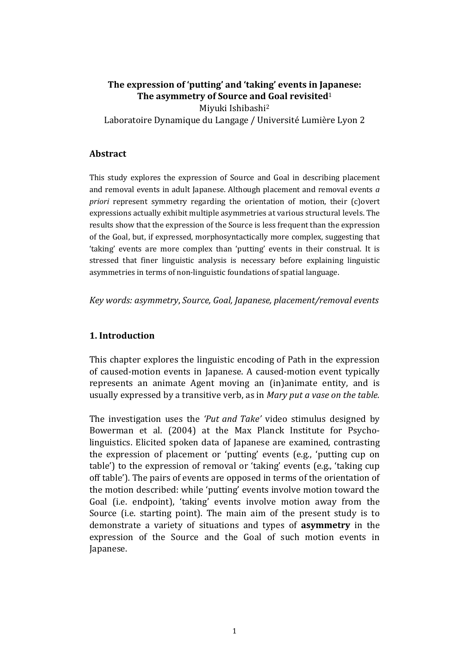# The expression of 'putting' and 'taking' events in Japanese: The asymmetry of Source and Goal revisited<sup>1</sup>

Miyuki Ishibashi<sup>2</sup>

Laboratoire Dynamique du Langage / Université Lumière Lyon 2

#### Abstract

This study explores the expression of Source and Goal in describing placement and removal events in adult Japanese. Although placement and removal events a priori represent symmetry regarding the orientation of motion, their (c)overt expressions actually exhibit multiple asymmetries at various structural levels. The results show that the expression of the Source is less frequent than the expression of the Goal, but, if expressed, morphosyntactically more complex, suggesting that 'taking' events are more complex than 'putting' events in their construal. It is stressed that finer linguistic analysis is necessary before explaining linguistic asymmetries in terms of non-linguistic foundations of spatial language.

Key words: asymmetry, Source, Goal, Japanese, placement/removal events

## 1. Introduction

This chapter explores the linguistic encoding of Path in the expression of caused-motion events in Japanese. A caused-motion event typically represents an animate Agent moving an (in)animate entity, and is usually expressed by a transitive verb, as in Mary put a vase on the table.

The investigation uses the 'Put and Take' video stimulus designed by Bowerman et al. (2004) at the Max Planck Institute for Psycholinguistics. Elicited spoken data of Japanese are examined, contrasting the expression of placement or 'putting' events (e.g., 'putting cup on table') to the expression of removal or 'taking' events (e.g., 'taking cup off table'). The pairs of events are opposed in terms of the orientation of the motion described: while 'putting' events involve motion toward the Goal (i.e. endpoint), 'taking' events involve motion away from the Source (i.e. starting point). The main aim of the present study is to demonstrate a variety of situations and types of asymmetry in the expression of the Source and the Goal of such motion events in Japanese.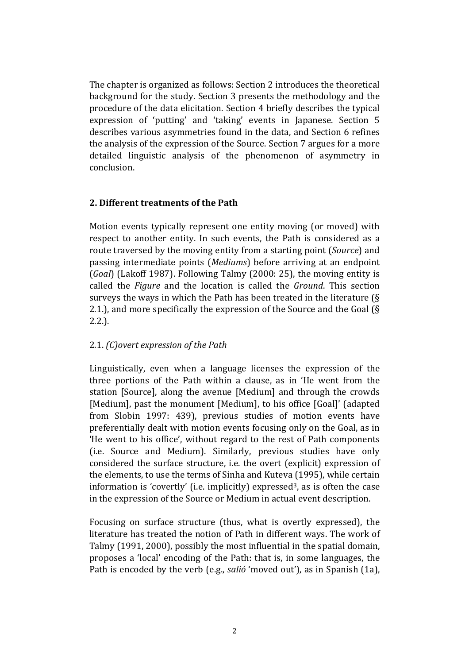The chapter is organized as follows: Section 2 introduces the theoretical background for the study. Section 3 presents the methodology and the procedure of the data elicitation. Section 4 briefly describes the typical expression of 'putting' and 'taking' events in Japanese. Section 5 describes various asymmetries found in the data, and Section 6 refines the analysis of the expression of the Source. Section 7 argues for a more detailed linguistic analysis of the phenomenon of asymmetry in conclusion.

## 2. Different treatments of the Path

Motion events typically represent one entity moving (or moved) with respect to another entity. In such events, the Path is considered as a route traversed by the moving entity from a starting point (Source) and passing intermediate points (Mediums) before arriving at an endpoint (Goal) (Lakoff 1987). Following Talmy (2000: 25), the moving entity is called the Figure and the location is called the Ground. This section surveys the ways in which the Path has been treated in the literature (§ 2.1.), and more specifically the expression of the Source and the Goal (§ 2.2.).

## 2.1. (C)overt expression of the Path

Linguistically, even when a language licenses the expression of the three portions of the Path within a clause, as in 'He went from the station [Source], along the avenue [Medium] and through the crowds [Medium], past the monument [Medium], to his office [Goal]' (adapted from Slobin 1997: 439), previous studies of motion events have preferentially dealt with motion events focusing only on the Goal, as in 'He went to his office', without regard to the rest of Path components (i.e. Source and Medium). Similarly, previous studies have only considered the surface structure, i.e. the overt (explicit) expression of the elements, to use the terms of Sinha and Kuteva (1995), while certain information is 'covertly' (i.e. implicitly) expressed<sup>3</sup>, as is often the case in the expression of the Source or Medium in actual event description.

Focusing on surface structure (thus, what is overtly expressed), the literature has treated the notion of Path in different ways. The work of Talmy (1991, 2000), possibly the most influential in the spatial domain, proposes a 'local' encoding of the Path: that is, in some languages, the Path is encoded by the verb (e.g., salió 'moved out'), as in Spanish (1a),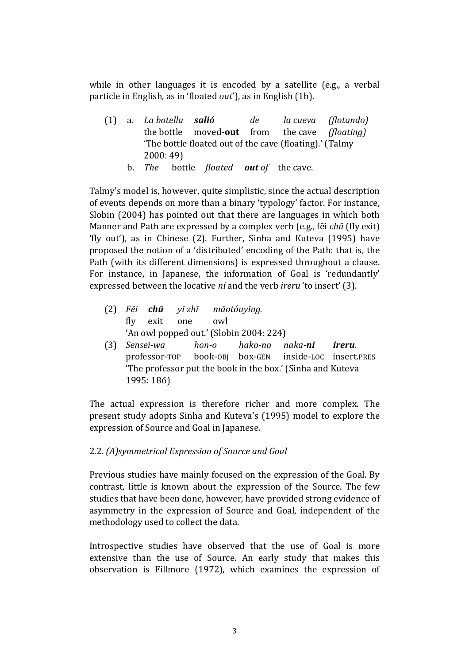while in other languages it is encoded by a satellite (e.g., a verbal particle in English, as in 'floated out'), as in English (1b).

(1) a. La botella salió de la cueva (flotando) the bottle moved-out from the cave (floating) 'The bottle floated out of the cave (floating).' (Talmy 2000: 49)

b. The bottle floated out of the cave.

Talmy's model is, however, quite simplistic, since the actual description of events depends on more than a binary 'typology' factor. For instance, Slobin (2004) has pointed out that there are languages in which both Manner and Path are expressed by a complex verb (e.g., fēi chū (fly exit) 'fly out'), as in Chinese (2). Further, Sinha and Kuteva (1995) have proposed the notion of a 'distributed' encoding of the Path: that is, the Path (with its different dimensions) is expressed throughout a clause. For instance, in Japanese, the information of Goal is 'redundantly' expressed between the locative ni and the verb ireru 'to insert' (3).

- (2) Fēi chū yī zhī māotóuyīng. fly exit one owl 'An owl popped out.' (Slobin 2004: 224)
- (3) Sensei-wa hon-o hako-no naka-ni ireru. professor-TOP book-OBJ box-GEN inside-LOC insert.PRES 'The professor put the book in the box.' (Sinha and Kuteva 1995: 186)

The actual expression is therefore richer and more complex. The present study adopts Sinha and Kuteva's (1995) model to explore the expression of Source and Goal in Japanese.

# 2.2. (A)symmetrical Expression of Source and Goal

Previous studies have mainly focused on the expression of the Goal. By contrast, little is known about the expression of the Source. The few studies that have been done, however, have provided strong evidence of asymmetry in the expression of Source and Goal, independent of the methodology used to collect the data.

Introspective studies have observed that the use of Goal is more extensive than the use of Source. An early study that makes this observation is Fillmore (1972), which examines the expression of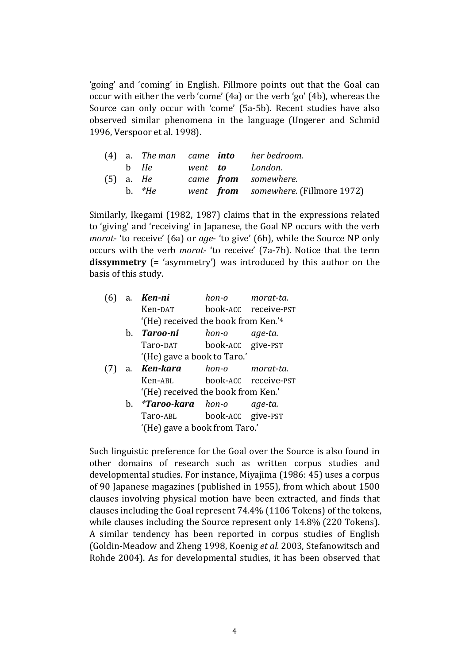'going' and 'coming' in English. Fillmore points out that the Goal can occur with either the verb 'come' (4a) or the verb 'go' (4b), whereas the Source can only occur with 'come' (5a-5b). Recent studies have also observed similar phenomena in the language (Ungerer and Schmid 1996, Verspoor et al. 1998).

|  |             |  | $(4)$ a. The man came <b>into</b> her bedroom. |
|--|-------------|--|------------------------------------------------|
|  |             |  |                                                |
|  | $(5)$ a. He |  | came <b>from</b> somewhere.                    |
|  | b. $*He$    |  | went <b>from</b> somewhere. (Fillmore 1972)    |

Similarly, Ikegami (1982, 1987) claims that in the expressions related to 'giving' and 'receiving' in Japanese, the Goal NP occurs with the verb morat- 'to receive' (6a) or age- 'to give' (6b), while the Source NP only occurs with the verb morat- 'to receive' (7a-7b). Notice that the term dissymmetry (= 'asymmetry') was introduced by this author on the basis of this study.

|  | $(6)$ a. <b>Ken-ni</b>              |                   | hon-o morat-ta.      |
|--|-------------------------------------|-------------------|----------------------|
|  | Ken-DAT                             |                   | book-ACC receive-PST |
|  | '(He) received the book from Ken.'4 |                   |                      |
|  | b. Taroo-ni                         | hon-o age-ta.     |                      |
|  | Taro-DAT                            | book-ACC give-PST |                      |
|  | '(He) gave a book to Taro.'         |                   |                      |
|  | a <b>Ken-kara</b> hon-o morat-ta    |                   |                      |

- (7) a. Ken-kara hon-o morat-ta. Ken-ABL book-ACC receive-PST '(He) received the book from Ken.'
	- b. \***Taroo-kara** hon-o age-ta. Taro-ABL book-ACC give-PST '(He) gave a book from Taro.'

Such linguistic preference for the Goal over the Source is also found in other domains of research such as written corpus studies and developmental studies. For instance, Miyajima (1986: 45) uses a corpus of 90 Japanese magazines (published in 1955), from which about 1500 clauses involving physical motion have been extracted, and finds that clauses including the Goal represent 74.4% (1106 Tokens) of the tokens, while clauses including the Source represent only 14.8% (220 Tokens). A similar tendency has been reported in corpus studies of English (Goldin-Meadow and Zheng 1998, Koenig et al. 2003, Stefanowitsch and Rohde 2004). As for developmental studies, it has been observed that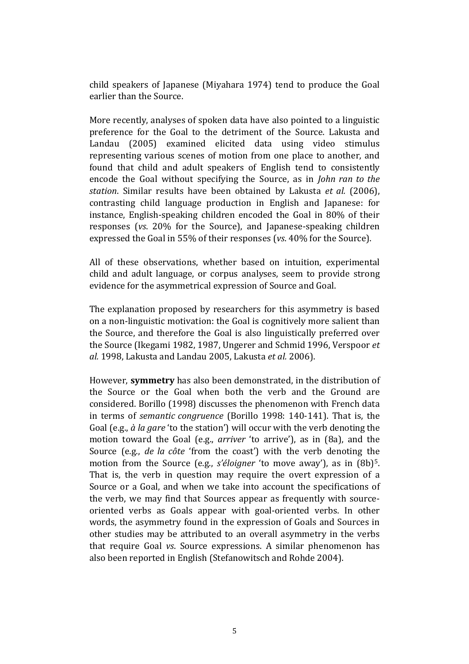child speakers of Japanese (Miyahara 1974) tend to produce the Goal earlier than the Source.

More recently, analyses of spoken data have also pointed to a linguistic preference for the Goal to the detriment of the Source. Lakusta and Landau (2005) examined elicited data using video stimulus representing various scenes of motion from one place to another, and found that child and adult speakers of English tend to consistently encode the Goal without specifying the Source, as in John ran to the station. Similar results have been obtained by Lakusta et al. (2006), contrasting child language production in English and Japanese: for instance, English-speaking children encoded the Goal in 80% of their responses (vs. 20% for the Source), and Japanese-speaking children expressed the Goal in 55% of their responses (vs. 40% for the Source).

All of these observations, whether based on intuition, experimental child and adult language, or corpus analyses, seem to provide strong evidence for the asymmetrical expression of Source and Goal.

The explanation proposed by researchers for this asymmetry is based on a non-linguistic motivation: the Goal is cognitively more salient than the Source, and therefore the Goal is also linguistically preferred over the Source (Ikegami 1982, 1987, Ungerer and Schmid 1996, Verspoor et al. 1998, Lakusta and Landau 2005, Lakusta et al. 2006).

However, symmetry has also been demonstrated, in the distribution of the Source or the Goal when both the verb and the Ground are considered. Borillo (1998) discusses the phenomenon with French data in terms of semantic congruence (Borillo 1998: 140-141). That is, the Goal (e.g., à la gare 'to the station') will occur with the verb denoting the motion toward the Goal (e.g., arriver 'to arrive'), as in (8a), and the Source (e.g., de la côte 'from the coast') with the verb denoting the motion from the Source (e.g., s'éloigner 'to move away'), as in (8b)<sup>5</sup>. That is, the verb in question may require the overt expression of a Source or a Goal, and when we take into account the specifications of the verb, we may find that Sources appear as frequently with sourceoriented verbs as Goals appear with goal-oriented verbs. In other words, the asymmetry found in the expression of Goals and Sources in other studies may be attributed to an overall asymmetry in the verbs that require Goal vs. Source expressions. A similar phenomenon has also been reported in English (Stefanowitsch and Rohde 2004).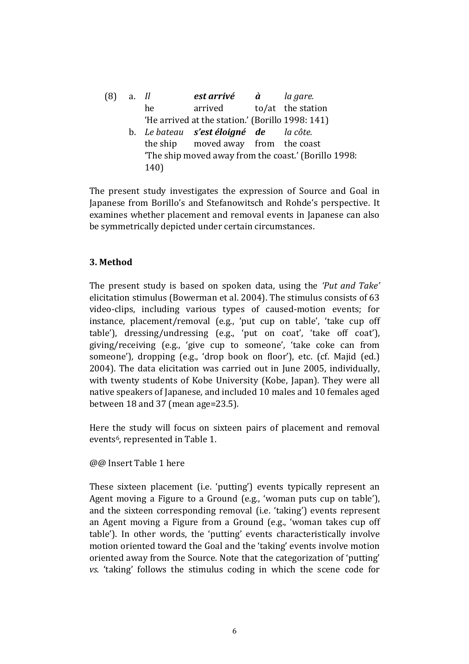| (8) | a. Il |      | est arrivé à                                     | la gare.                                             |
|-----|-------|------|--------------------------------------------------|------------------------------------------------------|
|     |       | he   | arrived to/at the station                        |                                                      |
|     |       |      | 'He arrived at the station.' (Borillo 1998: 141) |                                                      |
|     |       |      | b. Le bateau s'est éloigné de la côte.           |                                                      |
|     |       |      | the ship moved away from the coast               |                                                      |
|     |       |      |                                                  | 'The ship moved away from the coast.' (Borillo 1998: |
|     |       | 140) |                                                  |                                                      |

The present study investigates the expression of Source and Goal in Japanese from Borillo's and Stefanowitsch and Rohde's perspective. It examines whether placement and removal events in Japanese can also be symmetrically depicted under certain circumstances.

## 3. Method

The present study is based on spoken data, using the 'Put and Take' elicitation stimulus (Bowerman et al. 2004). The stimulus consists of 63 video-clips, including various types of caused-motion events; for instance, placement/removal (e.g., 'put cup on table', 'take cup off table'), dressing/undressing (e.g., 'put on coat', 'take off coat'), giving/receiving (e.g., 'give cup to someone', 'take coke can from someone'), dropping (e.g., 'drop book on floor'), etc. (cf. Majid (ed.) 2004). The data elicitation was carried out in June 2005, individually, with twenty students of Kobe University (Kobe, Japan). They were all native speakers of Japanese, and included 10 males and 10 females aged between 18 and 37 (mean age=23.5).

Here the study will focus on sixteen pairs of placement and removal events<sup>6</sup>, represented in Table 1.

@@ Insert Table 1 here

These sixteen placement (i.e. 'putting') events typically represent an Agent moving a Figure to a Ground (e.g., 'woman puts cup on table'), and the sixteen corresponding removal (i.e. 'taking') events represent an Agent moving a Figure from a Ground (e.g., 'woman takes cup off table'). In other words, the 'putting' events characteristically involve motion oriented toward the Goal and the 'taking' events involve motion oriented away from the Source. Note that the categorization of 'putting' vs. 'taking' follows the stimulus coding in which the scene code for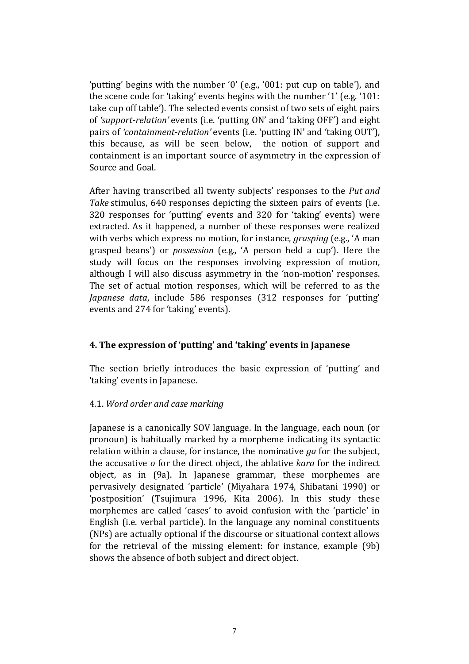'putting' begins with the number '0' (e.g., '001: put cup on table'), and the scene code for 'taking' events begins with the number '1' (e.g. '101: take cup off table'). The selected events consist of two sets of eight pairs of 'support-relation' events (i.e. 'putting ON' and 'taking OFF') and eight pairs of 'containment-relation' events (i.e. 'putting IN' and 'taking OUT'), this because, as will be seen below, the notion of support and containment is an important source of asymmetry in the expression of Source and Goal.

After having transcribed all twenty subjects' responses to the Put and Take stimulus, 640 responses depicting the sixteen pairs of events (i.e. 320 responses for 'putting' events and 320 for 'taking' events) were extracted. As it happened, a number of these responses were realized with verbs which express no motion, for instance, *grasping* (e.g., 'A man grasped beans') or possession (e.g., 'A person held a cup'). Here the study will focus on the responses involving expression of motion, although I will also discuss asymmetry in the 'non-motion' responses. The set of actual motion responses, which will be referred to as the Japanese data, include 586 responses (312 responses for 'putting' events and 274 for 'taking' events).

## 4. The expression of 'putting' and 'taking' events in Japanese

The section briefly introduces the basic expression of 'putting' and 'taking' events in Japanese.

## 4.1. Word order and case marking

Japanese is a canonically SOV language. In the language, each noun (or pronoun) is habitually marked by a morpheme indicating its syntactic relation within a clause, for instance, the nominative  $ga$  for the subject, the accusative o for the direct object, the ablative kara for the indirect object, as in (9a). In Japanese grammar, these morphemes are pervasively designated 'particle' (Miyahara 1974, Shibatani 1990) or 'postposition' (Tsujimura 1996, Kita 2006). In this study these morphemes are called 'cases' to avoid confusion with the 'particle' in English (i.e. verbal particle). In the language any nominal constituents (NPs) are actually optional if the discourse or situational context allows for the retrieval of the missing element: for instance, example (9b) shows the absence of both subject and direct object.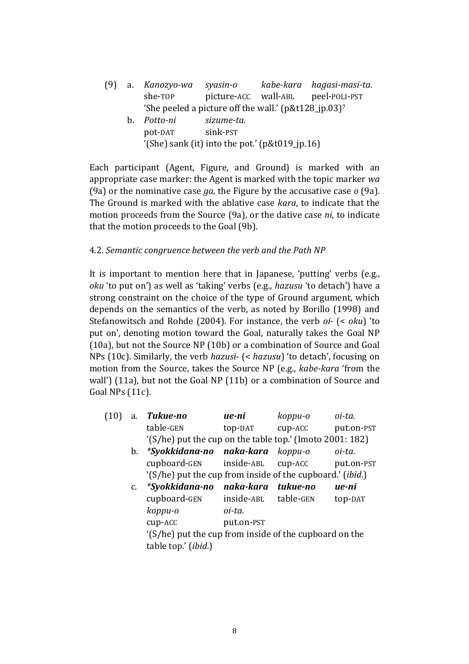(9) a. Kanozyo-wa syasin-o kabe-kara hagasi-masi-ta. she-TOP picture-ACC wall-ABL peel-POLI-PST 'She peeled a picture off the wall.' (p&t128  $ip.03$ )<sup>7</sup> b. Potto-ni sizume-ta. pot-DAT sink-PST '(She) sank (it) into the pot.'  $(p&t019$  jp.16)

Each participant (Agent, Figure, and Ground) is marked with an appropriate case marker: the Agent is marked with the topic marker wa (9a) or the nominative case ga, the Figure by the accusative case  $o$  (9a). The Ground is marked with the ablative case kara, to indicate that the motion proceeds from the Source (9a), or the dative case ni, to indicate that the motion proceeds to the Goal (9b).

#### 4.2. Semantic congruence between the verb and the Path NP

It is important to mention here that in Japanese, 'putting' verbs (e.g., oku 'to put on') as well as 'taking' verbs (e.g., hazusu 'to detach') have a strong constraint on the choice of the type of Ground argument, which depends on the semantics of the verb, as noted by Borillo (1998) and Stefanowitsch and Rohde (2004). For instance, the verb oi- (< oku) 'to put on', denoting motion toward the Goal, naturally takes the Goal NP (10a), but not the Source NP (10b) or a combination of Source and Goal NPs (10c). Similarly, the verb hazusi- (< hazusu) 'to detach', focusing on motion from the Source, takes the Source NP (e.g., kabe-kara 'from the wall') (11a), but not the Goal NP (11b) or a combination of Source and Goal NPs (11c).

| (10) | a.      | Tukue-no                                                          | ue-ni      | koppu-o       | oi-ta.     |
|------|---------|-------------------------------------------------------------------|------------|---------------|------------|
|      |         | table-GEN                                                         | top-DAT    | cup-ACC       | put.on-PST |
|      |         | '(S/he) put the cup on the table top.' (Imoto 2001: 182)          |            |               |            |
|      | b.      | <i>*Syokkidana-no naka-kara</i>                                   |            | koppu-o       | oi-ta.     |
|      |         | cupboard-GEN inside-ABL                                           |            | $cup$ - $ACC$ | put.on-PST |
|      |         | (S/he) put the cup from inside of the cupboard.' ( <i>ibid</i> .) |            |               |            |
|      | $C_{1}$ | *Syokkidana-no naka-kara tukue-no                                 |            |               | ue-ni      |
|      |         | cupboard-GEN inside-ABL table-GEN                                 |            |               | top-DAT    |
|      |         | koppu-o                                                           | oi-ta.     |               |            |
|      |         | cup-ACC                                                           | put.on-PST |               |            |
|      |         | '(S/he) put the cup from inside of the cupboard on the            |            |               |            |
|      |         | table top.' (ibid.)                                               |            |               |            |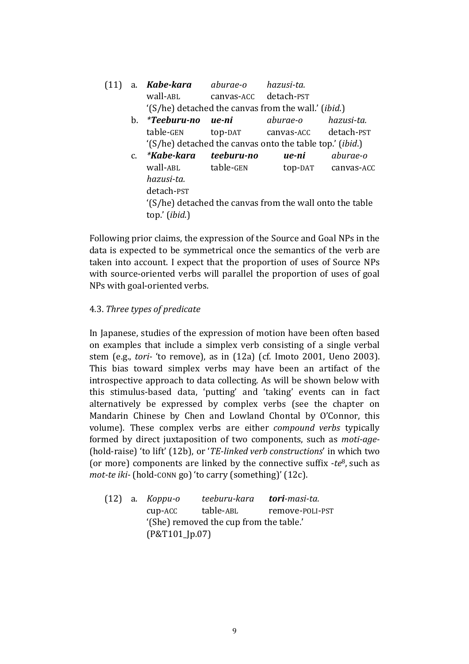| (11) |             | a. <b>Kabe-kara</b> aburae-o |                       | hazusi-ta.                                                   |            |
|------|-------------|------------------------------|-----------------------|--------------------------------------------------------------|------------|
|      |             | wall-ABL                     | canvas-ACC detach-PST |                                                              |            |
|      |             |                              |                       | '(S/he) detached the canvas from the wall.' ( <i>ibid</i> .) |            |
|      | b.          | *Teeburu-no ue-ni            |                       | aburae-o                                                     | hazusi-ta. |
|      |             | table-GEN                    |                       | top-DAT canvas-ACC detach-PST                                |            |
|      |             |                              |                       | '(S/he) detached the canvas onto the table top.' (ibid.)     |            |
|      | $C_{\cdot}$ | <i>*Kabe-kara</i>            | teeburu-no            | ue-ni                                                        | aburae-o   |
|      |             | wall-ABL table-GEN           |                       | top-DAT                                                      | canvas-ACC |
|      |             | hazusi-ta.                   |                       |                                                              |            |
|      |             | detach-PST                   |                       |                                                              |            |
|      |             |                              |                       | '(S/he) detached the canvas from the wall onto the table     |            |
|      |             | top.' (ibid.)                |                       |                                                              |            |

Following prior claims, the expression of the Source and Goal NPs in the data is expected to be symmetrical once the semantics of the verb are taken into account. I expect that the proportion of uses of Source NPs with source-oriented verbs will parallel the proportion of uses of goal NPs with goal-oriented verbs.

## 4.3. Three types of predicate

In Japanese, studies of the expression of motion have been often based on examples that include a simplex verb consisting of a single verbal stem (e.g., tori- 'to remove), as in (12a) (cf. Imoto 2001, Ueno 2003). This bias toward simplex verbs may have been an artifact of the introspective approach to data collecting. As will be shown below with this stimulus-based data, 'putting' and 'taking' events can in fact alternatively be expressed by complex verbs (see the chapter on Mandarin Chinese by Chen and Lowland Chontal by O'Connor, this volume). These complex verbs are either compound verbs typically formed by direct juxtaposition of two components, such as moti-age- (hold-raise) 'to lift' (12b), or 'TE-linked verb constructions' in which two (or more) components are linked by the connective suffix  $-te^8$ , such as mot-te iki- (hold-conn go) 'to carry (something)' (12c).

(12) a. Koppu-o teeburu-kara tori-masi-ta. cup-ACC table-ABL remove-POLI-PST '(She) removed the cup from the table.' (P&T101\_Jp.07)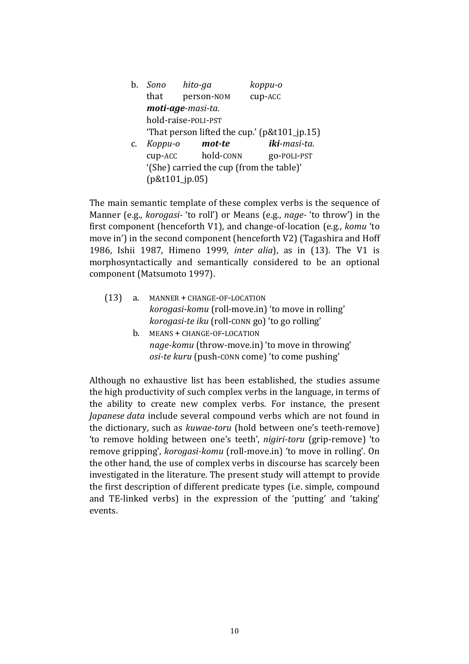| b. | Sono hito-ga                             |                     | koppu-o                                     |
|----|------------------------------------------|---------------------|---------------------------------------------|
|    | that                                     | person-NOM          | cup-ACC                                     |
|    |                                          | moti-age-masi-ta.   |                                             |
|    |                                          | hold-raise-POLI-PST |                                             |
|    |                                          |                     | That person lifted the cup.' (p&t101_jp.15) |
| c. | Koppu-o                                  | mot-te              | iki-masi-ta.                                |
|    | cup-ACC                                  | hold-CONN           | go-POLI-PST                                 |
|    | '(She) carried the cup (from the table)' |                     |                                             |
|    | (p&t101_jp.05)                           |                     |                                             |

The main semantic template of these complex verbs is the sequence of Manner (e.g., korogasi- 'to roll') or Means (e.g., nage- 'to throw') in the first component (henceforth V1), and change-of-location (e.g., komu 'to move in') in the second component (henceforth V2) (Tagashira and Hoff 1986, Ishii 1987, Himeno 1999, inter alia), as in (13). The V1 is morphosyntactically and semantically considered to be an optional component (Matsumoto 1997).

- (13) a. MANNER + CHANGE-OF-LOCATION korogasi-komu (roll-move.in) 'to move in rolling' korogasi-te iku (roll-CONN go) 'to go rolling'
	- b. MEANS + CHANGE-OF-LOCATION nage-komu (throw-move.in) 'to move in throwing' osi-te kuru (push-CONN come) 'to come pushing'

Although no exhaustive list has been established, the studies assume the high productivity of such complex verbs in the language, in terms of the ability to create new complex verbs. For instance, the present Japanese data include several compound verbs which are not found in the dictionary, such as kuwae-toru (hold between one's teeth-remove) 'to remove holding between one's teeth', nigiri-toru (grip-remove) 'to remove gripping', korogasi-komu (roll-move.in) 'to move in rolling'. On the other hand, the use of complex verbs in discourse has scarcely been investigated in the literature. The present study will attempt to provide the first description of different predicate types (i.e. simple, compound and TE-linked verbs) in the expression of the 'putting' and 'taking' events.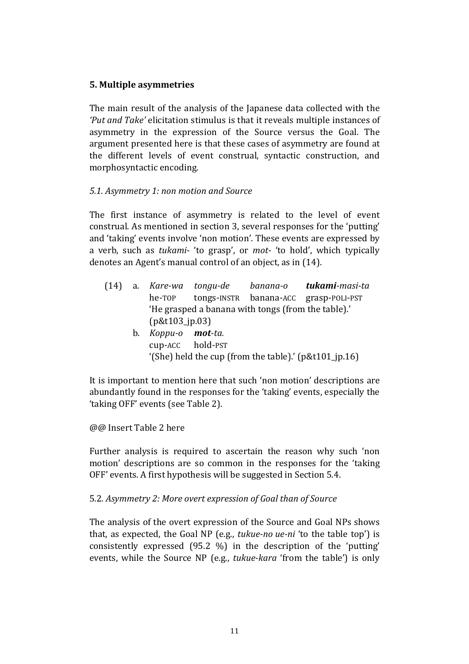## 5. Multiple asymmetries

The main result of the analysis of the Japanese data collected with the 'Put and Take' elicitation stimulus is that it reveals multiple instances of asymmetry in the expression of the Source versus the Goal. The argument presented here is that these cases of asymmetry are found at the different levels of event construal, syntactic construction, and morphosyntactic encoding.

## 5.1. Asymmetry 1: non motion and Source

The first instance of asymmetry is related to the level of event construal. As mentioned in section 3, several responses for the 'putting' and 'taking' events involve 'non motion'. These events are expressed by a verb, such as tukami- 'to grasp', or mot- 'to hold', which typically denotes an Agent's manual control of an object, as in (14).

- (14) a. Kare-wa tongu-de banana-o tukami-masi-ta he-TOP tongs-INSTR banana-ACC grasp-POLI-PST 'He grasped a banana with tongs (from the table).' (p&t103\_jp.03)
	- b. Koppu-o mot-ta. cup-ACC hold-PST '(She) held the cup (from the table).' (p&t101\_jp.16)

It is important to mention here that such 'non motion' descriptions are abundantly found in the responses for the 'taking' events, especially the 'taking OFF' events (see Table 2).

@@ Insert Table 2 here

Further analysis is required to ascertain the reason why such 'non motion' descriptions are so common in the responses for the 'taking OFF' events. A first hypothesis will be suggested in Section 5.4.

## 5.2. Asymmetry 2: More overt expression of Goal than of Source

The analysis of the overt expression of the Source and Goal NPs shows that, as expected, the Goal NP (e.g., tukue-no ue-ni 'to the table top') is consistently expressed (95.2 %) in the description of the 'putting' events, while the Source NP (e.g., tukue-kara 'from the table') is only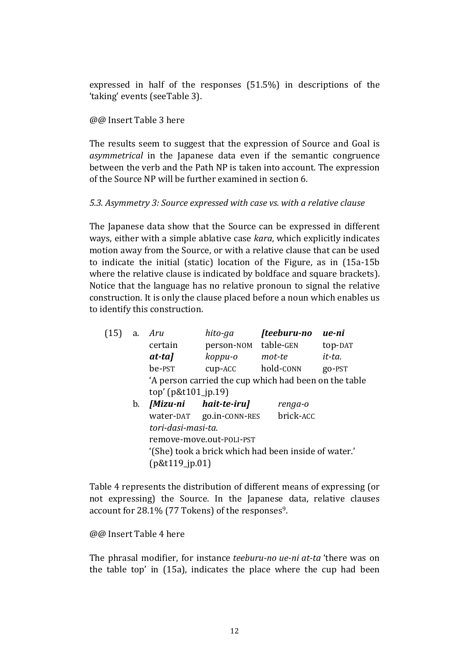expressed in half of the responses (51.5%) in descriptions of the 'taking' events (seeTable 3).

## @@ Insert Table 3 here

The results seem to suggest that the expression of Source and Goal is asymmetrical in the Japanese data even if the semantic congruence between the verb and the Path NP is taken into account. The expression of the Source NP will be further examined in section 6.

## 5.3. Asymmetry 3: Source expressed with case vs. with a relative clause

The Japanese data show that the Source can be expressed in different ways, either with a simple ablative case kara, which explicitly indicates motion away from the Source, or with a relative clause that can be used to indicate the initial (static) location of the Figure, as in (15a-15b where the relative clause is indicated by boldface and square brackets). Notice that the language has no relative pronoun to signal the relative construction. It is only the clause placed before a noun which enables us to identify this construction.

| (15) | a. | Aru                      | hito-ga                                               | [teeburu-no | ue-ni   |
|------|----|--------------------------|-------------------------------------------------------|-------------|---------|
|      |    | certain                  | person-NOM                                            | table-GEN   | top-DAT |
|      |    | at-ta]                   | koppu-o                                               | mot-te      | it-ta.  |
|      |    | be-PST                   | cup-ACC                                               | hold-CONN   | go-PST  |
|      |    |                          | 'A person carried the cup which had been on the table |             |         |
|      |    | $top'$ (p&t101_jp.19)    |                                                       |             |         |
|      | b. |                          | [Mizu-ni hait-te-iru]                                 | renga-o     |         |
|      |    |                          | water-DAT go.in-CONN-RES                              | brick-ACC   |         |
|      |    | tori-dasi-masi-ta.       |                                                       |             |         |
|      |    | remove-move.out-POLI-PST |                                                       |             |         |
|      |    |                          | '(She) took a brick which had been inside of water.'  |             |         |

Table 4 represents the distribution of different means of expressing (or not expressing) the Source. In the Japanese data, relative clauses account for 28.1% (77 Tokens) of the responses9.

@@ Insert Table 4 here

(p&t119\_jp.01)

The phrasal modifier, for instance teeburu-no ue-ni at-ta 'there was on the table top' in (15a), indicates the place where the cup had been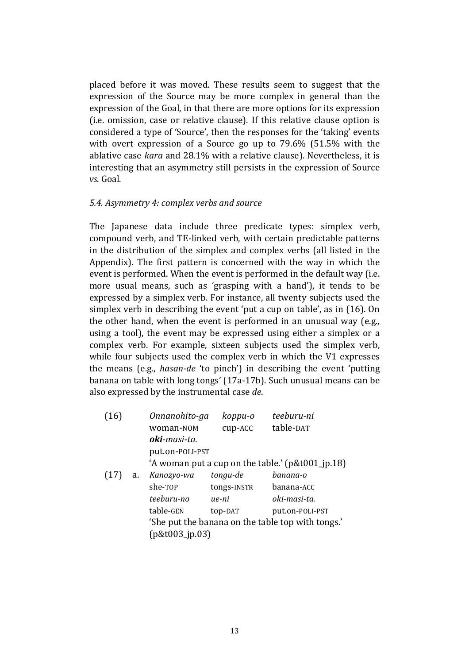placed before it was moved. These results seem to suggest that the expression of the Source may be more complex in general than the expression of the Goal, in that there are more options for its expression (i.e. omission, case or relative clause). If this relative clause option is considered a type of 'Source', then the responses for the 'taking' events with overt expression of a Source go up to 79.6% (51.5% with the ablative case kara and 28.1% with a relative clause). Nevertheless, it is interesting that an asymmetry still persists in the expression of Source vs. Goal.

#### 5.4. Asymmetry 4: complex verbs and source

The Japanese data include three predicate types: simplex verb, compound verb, and TE-linked verb, with certain predictable patterns in the distribution of the simplex and complex verbs (all listed in the Appendix). The first pattern is concerned with the way in which the event is performed. When the event is performed in the default way (i.e. more usual means, such as 'grasping with a hand'), it tends to be expressed by a simplex verb. For instance, all twenty subjects used the simplex verb in describing the event 'put a cup on table', as in (16). On the other hand, when the event is performed in an unusual way (e.g., using a tool), the event may be expressed using either a simplex or a complex verb. For example, sixteen subjects used the simplex verb, while four subjects used the complex verb in which the V1 expresses the means (e.g., hasan-de 'to pinch') in describing the event 'putting banana on table with long tongs' (17a-17b). Such unusual means can be also expressed by the instrumental case de.

|    |                      | koppu-o     | teeburu-ni                                                                                                                                                     |
|----|----------------------|-------------|----------------------------------------------------------------------------------------------------------------------------------------------------------------|
|    | woman-NOM            | cup-ACC     | table-DAT                                                                                                                                                      |
|    | <b>oki</b> -masi-ta. |             |                                                                                                                                                                |
|    |                      |             |                                                                                                                                                                |
|    |                      |             |                                                                                                                                                                |
| a. | Kanozyo-wa           | tongu-de    | banana-o                                                                                                                                                       |
|    | she-TOP              | tongs-INSTR | banana-ACC                                                                                                                                                     |
|    | teeburu-no           | ue-ni       | oki-masi-ta.                                                                                                                                                   |
|    | table-GEN            | top-DAT     | put.on-POLI-PST                                                                                                                                                |
|    |                      |             |                                                                                                                                                                |
|    |                      |             |                                                                                                                                                                |
|    |                      |             | Onnanohito-ga<br>put.on-POLI-PST<br>'A woman put a cup on the table.' $(p&t001$ _jp.18)<br>'She put the banana on the table top with tongs.'<br>[p&t003.jp.03] |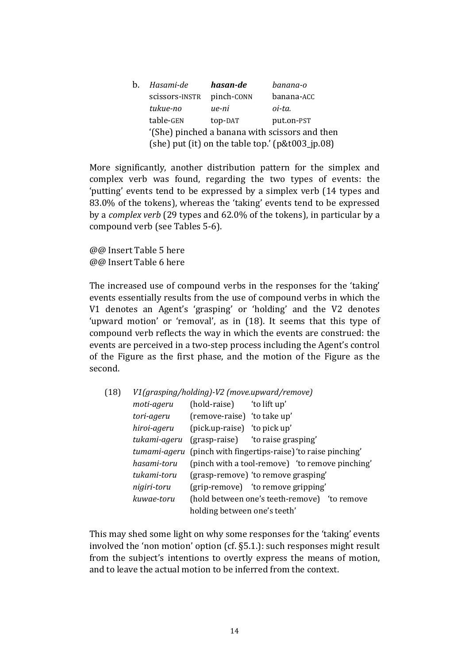| $b_{\cdot}$ | Hasami-de                                           | hasan-de   | banana-o                                       |  |
|-------------|-----------------------------------------------------|------------|------------------------------------------------|--|
|             | scissors-INSTR                                      | pinch-CONN | banana-ACC                                     |  |
|             | tukue-no                                            | ue-ni      | oi-ta.                                         |  |
|             | table-GEN                                           | top-DAT    | put.on-PST                                     |  |
|             |                                                     |            | '(She) pinched a banana with scissors and then |  |
|             | (she) put (it) on the table top.' $(p&t003$ _jp.08) |            |                                                |  |

More significantly, another distribution pattern for the simplex and complex verb was found, regarding the two types of events: the 'putting' events tend to be expressed by a simplex verb (14 types and 83.0% of the tokens), whereas the 'taking' events tend to be expressed by a complex verb (29 types and 62.0% of the tokens), in particular by a compound verb (see Tables 5-6).

@@ Insert Table 5 here @@ Insert Table 6 here

The increased use of compound verbs in the responses for the 'taking' events essentially results from the use of compound verbs in which the V1 denotes an Agent's 'grasping' or 'holding' and the V2 denotes 'upward motion' or 'removal', as in (18). It seems that this type of compound verb reflects the way in which the events are construed: the events are perceived in a two-step process including the Agent's control of the Figure as the first phase, and the motion of the Figure as the second.

| (18) | V1(grasping/holding)-V2 (move.upward/remove) |                              |                                                                       |  |  |
|------|----------------------------------------------|------------------------------|-----------------------------------------------------------------------|--|--|
|      | moti-ageru                                   | (hold-raise)                 | 'to lift up'                                                          |  |  |
|      | tori-ageru                                   | (remove-raise) 'to take up'  |                                                                       |  |  |
|      | hiroi-ageru                                  | (pick.up-raise) 'to pick up' |                                                                       |  |  |
|      | tukami-ageru                                 |                              | (grasp-raise) to raise grasping'                                      |  |  |
|      |                                              |                              | <i>tumami-ageru</i> (pinch with fingertips-raise) 'to raise pinching' |  |  |
|      | hasami-toru                                  |                              | (pinch with a tool-remove) 'to remove pinching'                       |  |  |
|      | tukami-toru                                  |                              | (grasp-remove) 'to remove grasping'                                   |  |  |
|      | nigiri-toru                                  |                              | (grip-remove) 'to remove gripping'                                    |  |  |
|      | kuwae-toru                                   |                              | (hold between one's teeth-remove) 'to remove                          |  |  |
|      |                                              | holding between one's teeth' |                                                                       |  |  |

This may shed some light on why some responses for the 'taking' events involved the 'non motion' option (cf. §5.1.): such responses might result from the subject's intentions to overtly express the means of motion, and to leave the actual motion to be inferred from the context.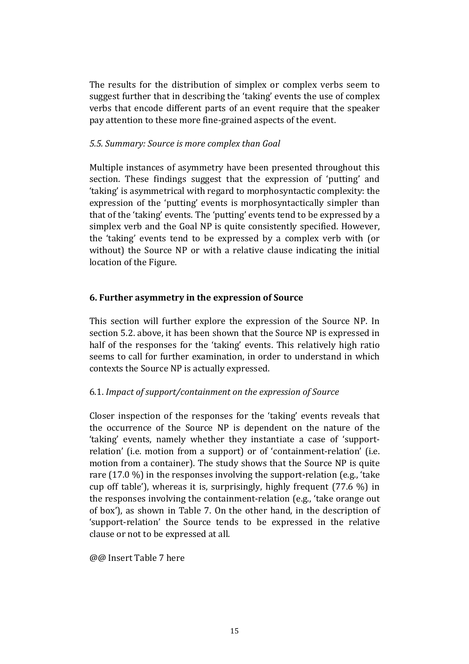The results for the distribution of simplex or complex verbs seem to suggest further that in describing the 'taking' events the use of complex verbs that encode different parts of an event require that the speaker pay attention to these more fine-grained aspects of the event.

## 5.5. Summary: Source is more complex than Goal

Multiple instances of asymmetry have been presented throughout this section. These findings suggest that the expression of 'putting' and 'taking' is asymmetrical with regard to morphosyntactic complexity: the expression of the 'putting' events is morphosyntactically simpler than that of the 'taking' events. The 'putting' events tend to be expressed by a simplex verb and the Goal NP is quite consistently specified. However, the 'taking' events tend to be expressed by a complex verb with (or without) the Source NP or with a relative clause indicating the initial location of the Figure.

## 6. Further asymmetry in the expression of Source

This section will further explore the expression of the Source NP. In section 5.2. above, it has been shown that the Source NP is expressed in half of the responses for the 'taking' events. This relatively high ratio seems to call for further examination, in order to understand in which contexts the Source NP is actually expressed.

# 6.1. Impact of support/containment on the expression of Source

Closer inspection of the responses for the 'taking' events reveals that the occurrence of the Source NP is dependent on the nature of the 'taking' events, namely whether they instantiate a case of 'supportrelation' (i.e. motion from a support) or of 'containment-relation' (i.e. motion from a container). The study shows that the Source NP is quite rare (17.0 %) in the responses involving the support-relation (e.g., 'take cup off table'), whereas it is, surprisingly, highly frequent (77.6 %) in the responses involving the containment-relation (e.g., 'take orange out of box'), as shown in Table 7. On the other hand, in the description of 'support-relation' the Source tends to be expressed in the relative clause or not to be expressed at all.

@@ Insert Table 7 here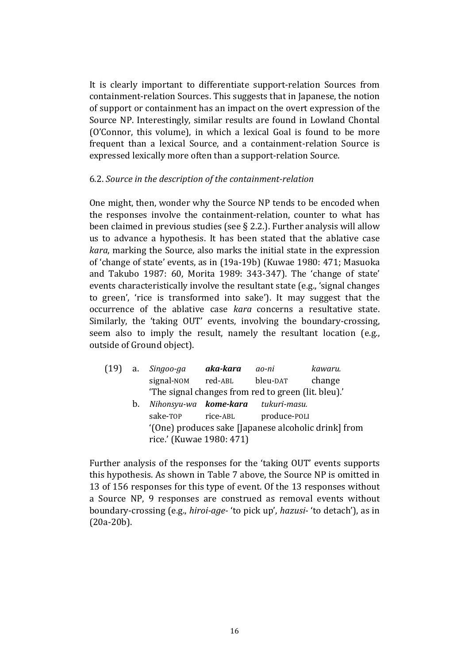It is clearly important to differentiate support-relation Sources from containment-relation Sources. This suggests that in Japanese, the notion of support or containment has an impact on the overt expression of the Source NP. Interestingly, similar results are found in Lowland Chontal (O'Connor, this volume), in which a lexical Goal is found to be more frequent than a lexical Source, and a containment-relation Source is expressed lexically more often than a support-relation Source.

## 6.2. Source in the description of the containment-relation

One might, then, wonder why the Source NP tends to be encoded when the responses involve the containment-relation, counter to what has been claimed in previous studies (see § 2.2.). Further analysis will allow us to advance a hypothesis. It has been stated that the ablative case kara, marking the Source, also marks the initial state in the expression of 'change of state' events, as in (19a-19b) (Kuwae 1980: 471; Masuoka and Takubo 1987: 60, Morita 1989: 343-347). The 'change of state' events characteristically involve the resultant state (e.g., 'signal changes to green', 'rice is transformed into sake'). It may suggest that the occurrence of the ablative case kara concerns a resultative state. Similarly, the 'taking OUT' events, involving the boundary-crossing, seem also to imply the result, namely the resultant location (e.g., outside of Ground object).

| (19) | a. | Singoo-ga                                           | aka-kara | ao-ni        | kawaru.                                              |
|------|----|-----------------------------------------------------|----------|--------------|------------------------------------------------------|
|      |    | signal-NOM                                          | red-ABL  | bleu-DAT     | change                                               |
|      |    | "The signal changes from red to green (lit. bleu)." |          |              |                                                      |
|      | b. | Nihonsyu-wa <b>kome-kara</b> tukuri-masu.           |          |              |                                                      |
|      |    | sake-TOP                                            | rice-ABL | produce-POLI |                                                      |
|      |    |                                                     |          |              | '(One) produces sake [Japanese alcoholic drink] from |
|      |    | rice.' (Kuwae 1980: 471)                            |          |              |                                                      |

Further analysis of the responses for the 'taking OUT' events supports this hypothesis. As shown in Table 7 above, the Source NP is omitted in 13 of 156 responses for this type of event. Of the 13 responses without a Source NP, 9 responses are construed as removal events without boundary-crossing (e.g., hiroi-age- 'to pick up', hazusi- 'to detach'), as in (20a-20b).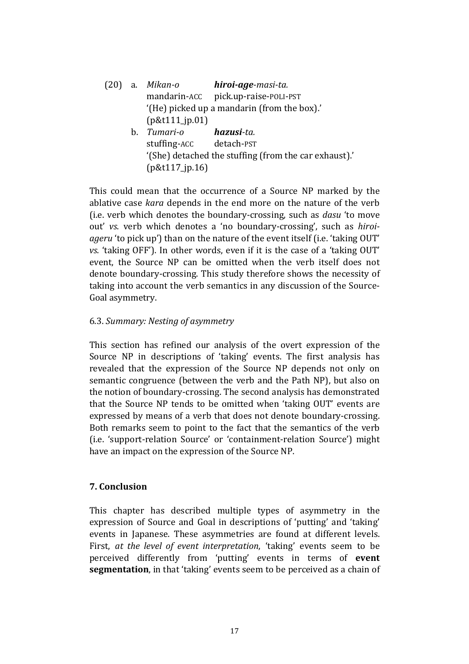|    | (20) a. <i>Mikan-o</i>  | hiroi-age-masi-ta.                                   |
|----|-------------------------|------------------------------------------------------|
|    |                         | mandarin-ACC pick.up-raise-POLI-PST                  |
|    |                         | '(He) picked up a mandarin (from the box).'          |
|    | [p&t111.jp.01]          |                                                      |
| h. | Tumari-o                | <b>hazusi</b> -ta.                                   |
|    | stuffing-ACC detach-PST |                                                      |
|    |                         | (She) detached the stuffing (from the car exhaust).' |
|    | $[p&t117$ _jp.16)       |                                                      |

This could mean that the occurrence of a Source NP marked by the ablative case kara depends in the end more on the nature of the verb (i.e. verb which denotes the boundary-crossing, such as dasu 'to move out' vs. verb which denotes a 'no boundary-crossing', such as hiroiageru 'to pick up') than on the nature of the event itself (i.e. 'taking OUT' vs. 'taking OFF'). In other words, even if it is the case of a 'taking OUT' event, the Source NP can be omitted when the verb itself does not denote boundary-crossing. This study therefore shows the necessity of taking into account the verb semantics in any discussion of the Source-Goal asymmetry.

#### 6.3. Summary: Nesting of asymmetry

This section has refined our analysis of the overt expression of the Source NP in descriptions of 'taking' events. The first analysis has revealed that the expression of the Source NP depends not only on semantic congruence (between the verb and the Path NP), but also on the notion of boundary-crossing. The second analysis has demonstrated that the Source NP tends to be omitted when 'taking OUT' events are expressed by means of a verb that does not denote boundary-crossing. Both remarks seem to point to the fact that the semantics of the verb (i.e. 'support-relation Source' or 'containment-relation Source') might have an impact on the expression of the Source NP.

## 7. Conclusion

This chapter has described multiple types of asymmetry in the expression of Source and Goal in descriptions of 'putting' and 'taking' events in Japanese. These asymmetries are found at different levels. First, at the level of event interpretation, 'taking' events seem to be perceived differently from 'putting' events in terms of event segmentation, in that 'taking' events seem to be perceived as a chain of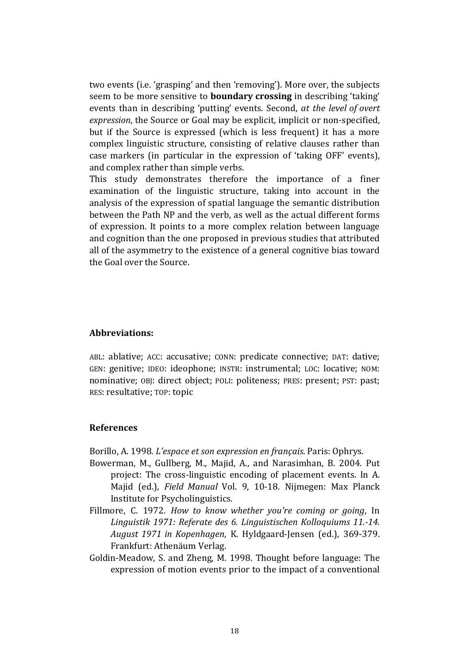two events (i.e. 'grasping' and then 'removing'). More over, the subjects seem to be more sensitive to **boundary crossing** in describing 'taking' events than in describing 'putting' events. Second, at the level of overt expression, the Source or Goal may be explicit, implicit or non-specified, but if the Source is expressed (which is less frequent) it has a more complex linguistic structure, consisting of relative clauses rather than case markers (in particular in the expression of 'taking OFF' events), and complex rather than simple verbs.

This study demonstrates therefore the importance of a finer examination of the linguistic structure, taking into account in the analysis of the expression of spatial language the semantic distribution between the Path NP and the verb, as well as the actual different forms of expression. It points to a more complex relation between language and cognition than the one proposed in previous studies that attributed all of the asymmetry to the existence of a general cognitive bias toward the Goal over the Source.

#### Abbreviations:

ABL: ablative; ACC: accusative; CONN: predicate connective; DAT: dative; GEN: genitive; IDEO: ideophone; INSTR: instrumental; LOC: locative; NOM: nominative; OBJ: direct object; POLI: politeness; PRES: present; PST: past; RES: resultative; TOP: topic

#### References

Borillo, A. 1998. L'espace et son expression en français. Paris: Ophrys.

- Bowerman, M., Gullberg, M., Majid, A., and Narasimhan, B. 2004. Put project: The cross-linguistic encoding of placement events. In A. Majid (ed.), Field Manual Vol. 9, 10-18. Nijmegen: Max Planck Institute for Psycholinguistics.
- Fillmore, C. 1972. How to know whether you're coming or going, In Linguistik 1971: Referate des 6. Linguistischen Kolloquiums 11.-14. August 1971 in Kopenhagen, K. Hyldgaard-Jensen (ed.), 369-379. Frankfurt: Athenäum Verlag.
- Goldin-Meadow, S. and Zheng, M. 1998. Thought before language: The expression of motion events prior to the impact of a conventional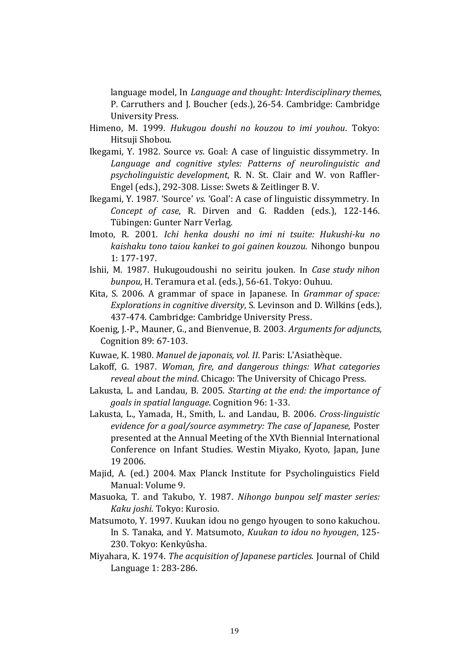language model, In Language and thought: Interdisciplinary themes, P. Carruthers and J. Boucher (eds.), 26-54. Cambridge: Cambridge University Press.

- Himeno, M. 1999. Hukugou doushi no kouzou to imi youhou. Tokyo: Hitsuji Shobou.
- Ikegami, Y. 1982. Source vs. Goal: A case of linguistic dissymmetry. In Language and cognitive styles: Patterns of neurolinguistic and psycholinguistic development, R. N. St. Clair and W. von Raffler-Engel (eds.), 292-308. Lisse: Swets & Zeitlinger B. V.
- Ikegami, Y. 1987. 'Source' vs. 'Goal': A case of linguistic dissymmetry. In Concept of case, R. Dirven and G. Radden (eds.), 122-146. Tübingen: Gunter Narr Verlag.
- Imoto, R. 2001. Ichi henka doushi no imi ni tsuite: Hukushi-ku no kaishaku tono taiou kankei to goi gainen kouzou. Nihongo bunpou 1: 177-197.
- Ishii, M. 1987. Hukugoudoushi no seiritu jouken. In Case study nihon bunpou, H. Teramura et al. (eds.), 56-61. Tokyo: Ouhuu.
- Kita, S. 2006. A grammar of space in Japanese. In Grammar of space: Explorations in cognitive diversity, S. Levinson and D. Wilkins (eds.), 437-474. Cambridge: Cambridge University Press.
- Koenig, J.-P., Mauner, G., and Bienvenue, B. 2003. Arguments for adjuncts, Cognition 89: 67-103.
- Kuwae, K. 1980. Manuel de japonais, vol. II. Paris: L'Asiathèque.
- Lakoff, G. 1987. Woman, fire, and dangerous things: What categories reveal about the mind. Chicago: The University of Chicago Press.
- Lakusta, L. and Landau, B. 2005. Starting at the end: the importance of goals in spatial language. Cognition 96: 1-33.
- Lakusta, L., Yamada, H., Smith, L. and Landau, B. 2006. Cross-linguistic evidence for a goal/source asymmetry: The case of Japanese, Poster presented at the Annual Meeting of the XVth Biennial International Conference on Infant Studies. Westin Miyako, Kyoto, Japan, June 19 2006.
- Majid, A. (ed.) 2004. Max Planck Institute for Psycholinguistics Field Manual: Volume 9.
- Masuoka, T. and Takubo, Y. 1987. Nihongo bunpou self master series: Kaku joshi. Tokyo: Kurosio.
- Matsumoto, Y. 1997. Kuukan idou no gengo hyougen to sono kakuchou. In S. Tanaka, and Y. Matsumoto, Kuukan to idou no hyougen, 125- 230. Tokyo: Kenkyûsha.
- Miyahara, K. 1974. The acquisition of Japanese particles. Journal of Child Language 1: 283-286.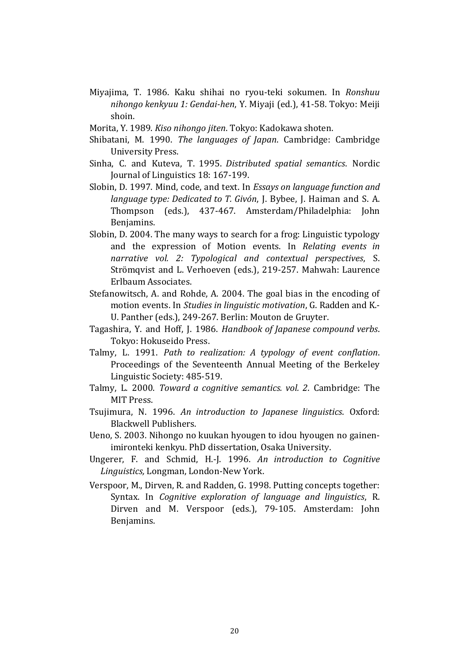Miyajima, T. 1986. Kaku shihai no ryou-teki sokumen. In Ronshuu nihongo kenkyuu 1: Gendai-hen, Y. Miyaji (ed.), 41-58. Tokyo: Meiji shoin.

Morita, Y. 1989. Kiso nihongo jiten. Tokyo: Kadokawa shoten.

- Shibatani, M. 1990. The languages of Japan. Cambridge: Cambridge University Press.
- Sinha, C. and Kuteva, T. 1995. Distributed spatial semantics. Nordic Journal of Linguistics 18: 167-199.
- Slobin, D. 1997. Mind, code, and text. In Essays on language function and language type: Dedicated to T. Givón, J. Bybee, J. Haiman and S. A. Thompson (eds.), 437-467. Amsterdam/Philadelphia: John Benjamins.
- Slobin, D. 2004. The many ways to search for a frog: Linguistic typology and the expression of Motion events. In Relating events in narrative vol. 2: Typological and contextual perspectives, S. Strömqvist and L. Verhoeven (eds.), 219-257. Mahwah: Laurence Erlbaum Associates.
- Stefanowitsch, A. and Rohde, A. 2004. The goal bias in the encoding of motion events. In Studies in linguistic motivation, G. Radden and K.- U. Panther (eds.), 249-267. Berlin: Mouton de Gruyter.
- Tagashira, Y. and Hoff, J. 1986. Handbook of Japanese compound verbs. Tokyo: Hokuseido Press.
- Talmy, L. 1991. Path to realization: A typology of event conflation. Proceedings of the Seventeenth Annual Meeting of the Berkeley Linguistic Society: 485-519.
- Talmy, L. 2000. Toward a cognitive semantics. vol. 2. Cambridge: The MIT Press.
- Tsujimura, N. 1996. An introduction to Japanese linguistics. Oxford: Blackwell Publishers.
- Ueno, S. 2003. Nihongo no kuukan hyougen to idou hyougen no gainenimironteki kenkyu. PhD dissertation, Osaka University.
- Ungerer, F. and Schmid, H.-J. 1996. An introduction to Cognitive Linguistics, Longman, London-New York.
- Verspoor, M., Dirven, R. and Radden, G. 1998. Putting concepts together: Syntax. In Cognitive exploration of language and linguistics, R. Dirven and M. Verspoor (eds.), 79-105. Amsterdam: John Benjamins.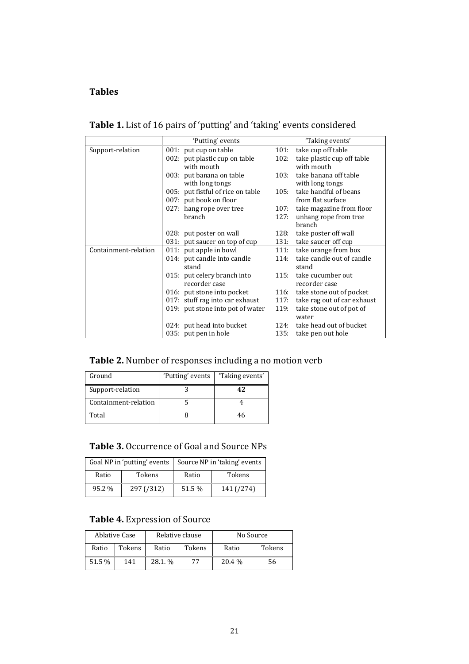## Tables

| Table 1. List of 16 pairs of 'putting' and 'taking' events considered |  |  |  |
|-----------------------------------------------------------------------|--|--|--|
|-----------------------------------------------------------------------|--|--|--|

|                      | 'Putting' events                  | 'Taking events'                     |
|----------------------|-----------------------------------|-------------------------------------|
| Support-relation     | 001: put cup on table             | 101:<br>take cup off table          |
|                      | 002: put plastic cup on table     | take plastic cup off table<br>102:  |
|                      | with mouth                        | with mouth                          |
|                      | 003: put banana on table          | take banana off table<br>103:       |
|                      | with long tongs                   | with long tongs                     |
|                      | 005: put fistful of rice on table | take handful of beans<br>105:       |
|                      | 007: put book on floor            | from flat surface                   |
|                      | 027: hang rope over tree          | 107:<br>take magazine from floor    |
|                      | branch                            | 127:<br>unhang rope from tree       |
|                      |                                   | <b>branch</b>                       |
|                      | 028: put poster on wall           | 128:<br>take poster off wall        |
|                      | 031: put saucer on top of cup     | 131:<br>take saucer off cup         |
| Containment-relation | 011: put apple in bowl            | 111:<br>take orange from box        |
|                      | 014: put candle into candle       | take candle out of candle<br>114:   |
|                      | stand                             | stand                               |
|                      | 015: put celery branch into       | take cucumber out<br>115:           |
|                      | recorder case                     | recorder case                       |
|                      | 016: put stone into pocket        | 116:<br>take stone out of pocket    |
|                      | 017: stuff rag into car exhaust   | 117:<br>take rag out of car exhaust |
|                      | 019: put stone into pot of water  | 119:<br>take stone out of pot of    |
|                      |                                   | water                               |
|                      | 024: put head into bucket         | take head out of bucket<br>124:     |
|                      | 035: put pen in hole              | 135:<br>take pen out hole           |

# Table 2. Number of responses including a no motion verb

| Ground               | 'Putting' events | 'Taking events' |
|----------------------|------------------|-----------------|
| Support-relation     |                  | 47              |
| Containment-relation |                  |                 |
| Total                |                  | 46              |

# Table 3. Occurrence of Goal and Source NPs

| Goal NP in 'putting' events |            | Source NP in 'taking' events |            |  |
|-----------------------------|------------|------------------------------|------------|--|
| Ratio                       | Tokens     | Ratio                        | Tokens     |  |
| 95.2 %                      | 297 (/312) | 51.5 %                       | 141 (/274) |  |

# Table 4. Expression of Source

|        | Ablative Case |        | Relative clause |         | No Source |
|--------|---------------|--------|-----------------|---------|-----------|
| Ratio  | Tokens        | Ratio  | Tokens          | Ratio   | Tokens    |
| 51.5 % | 141           | 28.1.% | 77              | 20.4 \% | 56        |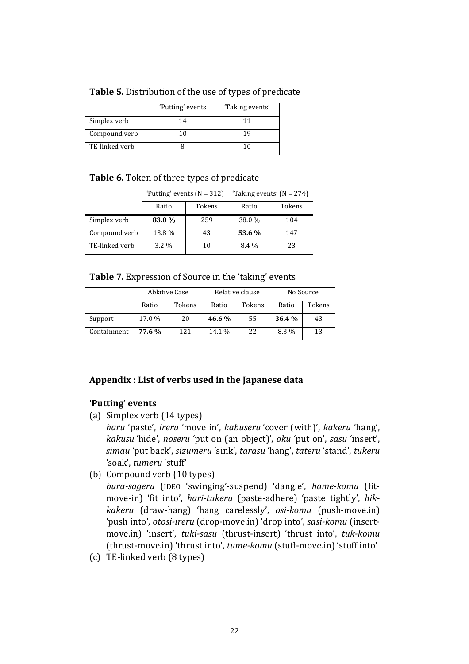|                | 'Putting' events | 'Taking events' |
|----------------|------------------|-----------------|
| Simplex verb   | 14               |                 |
| Compound verb  |                  | า น             |
| TE-linked verb |                  |                 |

## Table 6. Token of three types of predicate

|                | 'Putting' events $(N = 312)$ |        | 'Taking events' ( $N = 274$ ) |        |  |
|----------------|------------------------------|--------|-------------------------------|--------|--|
|                | Ratio                        | Tokens | Ratio                         | Tokens |  |
| Simplex verb   | 83.0 %                       | 259    | 38.0 %                        | 104    |  |
| Compound verb  | 13.8 %                       | 43     | 53.6 %                        | 147    |  |
| TE-linked verb | 3.2 %                        | 10     | 8.4 %                         | 23     |  |

Table 7. Expression of Source in the 'taking' events

|             |        | Ablative Case | Relative clause |        | No Source |        |
|-------------|--------|---------------|-----------------|--------|-----------|--------|
|             | Ratio  | Tokens        | Ratio           | Tokens | Ratio     | Tokens |
| Support     | 17.0 % | 20            | 46.6%           | 55     | 36.4 %    | 43     |
| Containment | 77.6%  | 121           | 14.1 %          | 22     | 8.3 %     | 13     |

# Appendix : List of verbs used in the Japanese data

# 'Putting' events

(a) Simplex verb (14 types)

haru 'paste', ireru 'move in', kabuseru 'cover (with)', kakeru 'hang', kakusu 'hide', noseru 'put on (an object)', oku 'put on', sasu 'insert', simau 'put back', sizumeru 'sink', tarasu 'hang', tateru 'stand', tukeru 'soak', tumeru 'stuff'

(b) Compound verb (10 types)

bura-sageru (IDEO 'swinging'-suspend) 'dangle', hame-komu (fitmove-in) 'fit into', hari-tukeru (paste-adhere) 'paste tightly', hikkakeru (draw-hang) 'hang carelessly', osi-komu (push-move.in) 'push into', otosi-ireru (drop-move.in) 'drop into', sasi-komu (insertmove.in) 'insert', tuki-sasu (thrust-insert) 'thrust into', tuk-komu (thrust-move.in) 'thrust into', tume-komu (stuff-move.in) 'stuff into'

(c) TE-linked verb (8 types)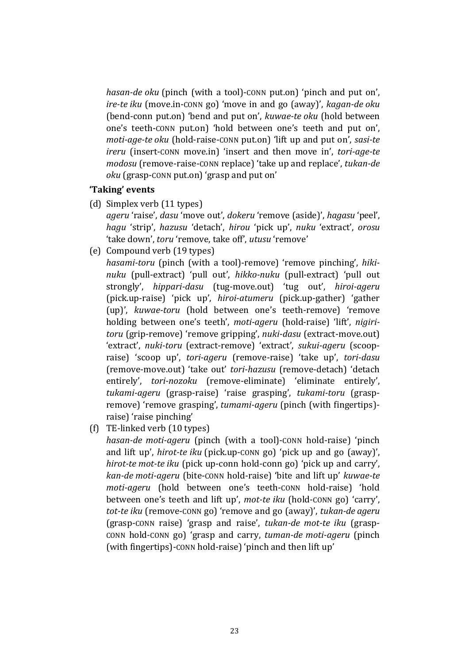hasan-de oku (pinch (with a tool)-conn put.on) 'pinch and put on', ire-te iku (move.in-CONN go) 'move in and go (away)', kagan-de oku (bend-conn put.on) 'bend and put on', kuwae-te oku (hold between one's teeth-CONN put.on) 'hold between one's teeth and put on', moti-age-te oku (hold-raise-CONN put.on) 'lift up and put on', sasi-te ireru (insert-CONN move.in) 'insert and then move in', tori-age-te modosu (remove-raise-CONN replace) 'take up and replace', tukan-de oku (grasp-CONN put.on) 'grasp and put on'

#### 'Taking' events

(d) Simplex verb (11 types)

ageru 'raise', dasu 'move out', dokeru 'remove (aside)', hagasu 'peel', hagu 'strip', hazusu 'detach', hirou 'pick up', nuku 'extract', orosu 'take down', toru 'remove, take off', utusu 'remove'

(e) Compound verb (19 types)

hasami-toru (pinch (with a tool)-remove) 'remove pinching', hikinuku (pull-extract) 'pull out', hikko-nuku (pull-extract) 'pull out strongly', hippari-dasu (tug-move.out) 'tug out', hiroi-ageru (pick.up-raise) 'pick up', hiroi-atumeru (pick.up-gather) 'gather (up)', kuwae-toru (hold between one's teeth-remove) 'remove holding between one's teeth', moti-ageru (hold-raise) 'lift', nigiritoru (grip-remove) 'remove gripping', nuki-dasu (extract-move.out) 'extract', nuki-toru (extract-remove) 'extract', sukui-ageru (scoopraise) 'scoop up', tori-ageru (remove-raise) 'take up', tori-dasu (remove-move.out) 'take out' tori-hazusu (remove-detach) 'detach entirely', tori-nozoku (remove-eliminate) 'eliminate entirely', tukami-ageru (grasp-raise) 'raise grasping', tukami-toru (graspremove) 'remove grasping', tumami-ageru (pinch (with fingertips)raise) 'raise pinching'

(f) TE-linked verb (10 types)

hasan-de moti-ageru (pinch (with a tool)-CONN hold-raise) 'pinch and lift up', hirot-te iku (pick.up-CONN go) 'pick up and go (away)', hirot-te mot-te iku (pick up-conn hold-conn go) 'pick up and carry', kan-de moti-ageru (bite-CONN hold-raise) 'bite and lift up' kuwae-te moti-ageru (hold between one's teeth-CONN hold-raise) 'hold between one's teeth and lift up', mot-te iku (hold-CONN go) 'carry', tot-te iku (remove-CONN go) 'remove and go (away)', tukan-de ageru (grasp-CONN raise) 'grasp and raise', tukan-de mot-te iku (grasp-CONN hold-CONN go) 'grasp and carry, tuman-de moti-ageru (pinch (with fingertips)-CONN hold-raise) 'pinch and then lift up'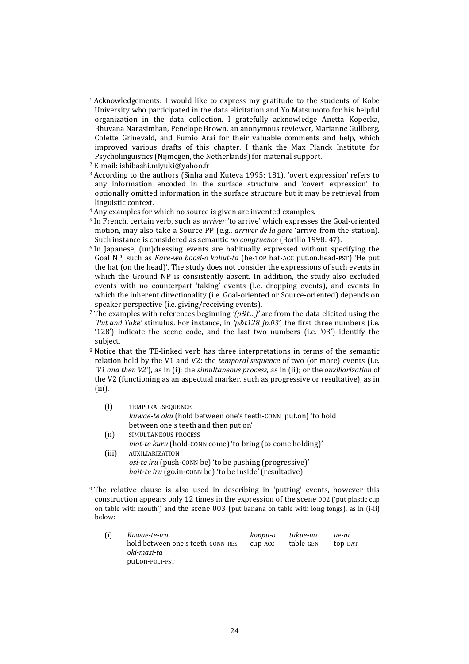<sup>1</sup> Acknowledgements: I would like to express my gratitude to the students of Kobe University who participated in the data elicitation and Yo Matsumoto for his helpful organization in the data collection. I gratefully acknowledge Anetta Kopecka, Bhuvana Narasimhan, Penelope Brown, an anonymous reviewer, Marianne Gullberg, Colette Grinevald, and Fumio Arai for their valuable comments and help, which improved various drafts of this chapter. I thank the Max Planck Institute for Psycholinguistics (Nijmegen, the Netherlands) for material support.

 $\overline{a}$ 

- <sup>3</sup> According to the authors (Sinha and Kuteva 1995: 181), 'overt expression' refers to any information encoded in the surface structure and 'covert expression' to optionally omitted information in the surface structure but it may be retrieval from linguistic context.
- <sup>4</sup> Any examples for which no source is given are invented examples.
- <sup>5</sup> In French, certain verb, such as *arriver* 'to arrive' which expresses the Goal-oriented motion, may also take a Source PP (e.g., *arriver de la gare 'arrive from the station*). Such instance is considered as semantic no congruence (Borillo 1998: 47).
- <sup>6</sup> In Japanese, (un)dressing events are habitually expressed without specifying the Goal NP, such as Kare-wa boosi-o kabut-ta (he-TOP hat-ACC put.on.head-PST) 'He put the hat (on the head)'. The study does not consider the expressions of such events in which the Ground NP is consistently absent. In addition, the study also excluded events with no counterpart 'taking' events (i.e. dropping events), and events in which the inherent directionality (i.e. Goal-oriented or Source-oriented) depends on speaker perspective (i.e. giving/receiving events).
- <sup>7</sup> The examples with references beginning ' $(p\&t...)$ ' are from the data elicited using the 'Put and Take' stimulus. For instance, in 'p&t128\_jp.03', the first three numbers (i.e. '128') indicate the scene code, and the last two numbers (i.e. '03') identify the subject.
- <sup>8</sup> Notice that the TE-linked verb has three interpretations in terms of the semantic relation held by the V1 and V2: the *temporal sequence* of two (or more) events (i.e.  $V1$  and then  $V2$ ), as in (i); the simultaneous process, as in (ii); or the auxiliarization of the V2 (functioning as an aspectual marker, such as progressive or resultative), as in (iii).
	- (i) TEMPORAL SEQUENCE kuwae-te oku (hold between one's teeth-CONN put.on) 'to hold between one's teeth and then put on'
	- (ii) SIMULTANEOUS PROCESS
	- mot-te kuru (hold-CONN come) 'to bring (to come holding)' (iii) AUXILIARIZATION osi-te iru (push-CONN be) 'to be pushing (progressive)' hait-te iru (go.in-CONN be) 'to be inside' (resultative)
- <sup>9</sup> The relative clause is also used in describing in 'putting' events, however this construction appears only 12 times in the expression of the scene 002 ('put plastic cup on table with mouth') and the scene 003 (put banana on table with long tongs), as in (i-ii) below:

| (i) | Kuwae-te-iru                      | koppu-o | tukue-no  | ue-ni   |
|-----|-----------------------------------|---------|-----------|---------|
|     | hold between one's teeth-CONN-RES | cup-ACC | table-GEN | top-DAT |
|     | oki-masi-ta                       |         |           |         |
|     | put.on-POLI-PST                   |         |           |         |

<sup>2</sup> E-mail: ishibashi.miyuki@yahoo.fr